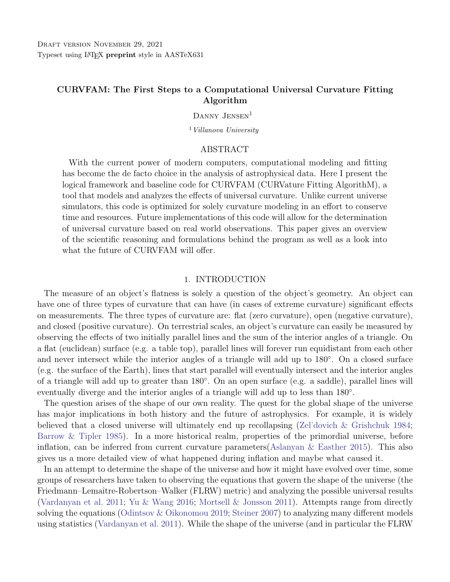## CURVFAM: The First Steps to a Computational Universal Curvature Fitting Algorithm

DANNY JENSEN<sup>1</sup>

 $1$  Villanova University

### ABSTRACT

With the current power of modern computers, computational modeling and fitting has become the de facto choice in the analysis of astrophysical data. Here I present the logical framework and baseline code for CURVFAM (CURVature Fitting AlgorithM), a tool that models and analyzes the effects of universal curvature. Unlike current universe simulators, this code is optimized for solely curvature modeling in an effort to conserve time and resources. Future implementations of this code will allow for the determination of universal curvature based on real world observations. This paper gives an overview of the scientific reasoning and formulations behind the program as well as a look into what the future of CURVFAM will offer.

### 1. INTRODUCTION

The measure of an object's flatness is solely a question of the object's geometry. An object can have one of three types of curvature that can have (in cases of extreme curvature) significant effects on measurements. The three types of curvature are: flat (zero curvature), open (negative curvature), and closed (positive curvature). On terrestrial scales, an object's curvature can easily be measured by observing the effects of two initially parallel lines and the sum of the interior angles of a triangle. On a flat (euclidean) surface (e.g. a table top), parallel lines will forever run equidistant from each other and never intersect while the interior angles of a triangle will add up to 180◦ . On a closed surface (e.g. the surface of the Earth), lines that start parallel will eventually intersect and the interior angles of a triangle will add up to greater than 180◦ . On an open surface (e.g. a saddle), parallel lines will eventually diverge and the interior angles of a triangle will add up to less than 180<sup>°</sup>.

The question arises of the shape of our own reality. The quest for the global shape of the universe has major implications in both history and the future of astrophysics. For example, it is widely believed that a closed universe will ultimately end up recollapsing [\(Zel'dovich & Grishchuk](#page-10-0) [1984;](#page-10-0) [Barrow & Tipler](#page-10-1) [1985\)](#page-10-1). In a more historical realm, properties of the primordial universe, before inflation, can be inferred from current curvature parameters[\(Aslanyan & Easther](#page-10-2) [2015\)](#page-10-2). This also gives us a more detailed view of what happened during inflation and maybe what caused it.

In an attempt to determine the shape of the universe and how it might have evolved over time, some groups of researchers have taken to observing the equations that govern the shape of the universe (the Friedmann–Lemaître-Robertson–Walker (FLRW) metric) and analyzing the possible universal results [\(Vardanyan et al.](#page-10-3) [2011;](#page-10-3) [Yu & Wang](#page-10-4) [2016;](#page-10-4) [Mortsell & Jonsson](#page-10-5) [2011\)](#page-10-5). Attempts range from directly solving the equations [\(Odintsov & Oikonomou](#page-10-6) [2019;](#page-10-6) [Steiner](#page-10-7) [2007\)](#page-10-7) to analyzing many different models using statistics [\(Vardanyan et al.](#page-10-3) [2011\)](#page-10-3). While the shape of the universe (and in particular the FLRW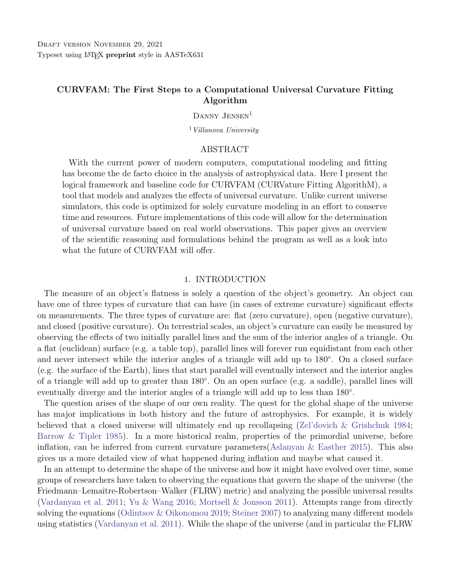metric) involve parameters like the density of matter  $\Omega_M$  and dark energy  $\Omega_{\Lambda}$ , there is one value that is derived from the density parameters and can therefore be used to determine those fundamental values. This value is the curvature parameter K.

The two main methods used for the determination of the curvature parameter utilize supernovae and the cosmic microwave background (CMB). The first method involves comparing data from supernova surveys with solutions to the FLRW metric across various tested values for  $\Omega_M$  and  $\Omega_{\Lambda}$  [\(Inserra et al.](#page-10-8) [2021;](#page-10-8) [Wang et al.](#page-10-9) [2005\)](#page-10-9). Alternatively, other studies employ power spectra of the irregularities in the CMB to statistically estimate curvature [\(Vardanyan et al.](#page-10-3) [2011\)](#page-10-3). While each method of determining the density parameters yields plausible results, there is still tension between the various methods on the curvature value and even the resulting shape of the universe [\(Handley](#page-10-10) [2021\)](#page-10-10).

The method of prescribing different models to the universe and statistically analyzing which fits observed qualities of the universe better is typically used for constraining values such as the Hubble constant  $(H_0)$ , the current matter density parameter  $(\Omega_M)$ , and the current dark energy density parameter  $(\Omega_{\Lambda})$  to name a few [\(Inserra et al.](#page-10-8) [2021;](#page-10-8) [Gupta](#page-10-11) [2019\)](#page-10-11). It can, however, be extrapolated further to analyze additional parameters or even the shape of the universe as a whole.

A new approach to determining the global structure of the universe has been gaining popularity with the ever increasing processing power of modern computers. This approach models an entire universe of particles and subjects them to the laws of physics allowing for the system to evolve with time. At first, such simulations (called N-body simulations) were used to observe galaxy clustering [\(Aarseth](#page-10-12) [et al.](#page-10-12) [1979\)](#page-10-12), but more recently, these simulations are modeling universes with trillions of particles to high degrees of accuracy [\(Maksimova et al.](#page-10-13) [2021\)](#page-10-13). The implications of such detailed simulations is the ability to directly measure the desired parameters  $(\Omega_M, \Omega_\Lambda, H_0)$  from the simulated universe.

The difficulty with the universal simulations is the amount of computational power and time required to process such large amounts of calculations. This makes the use of such simulations excessive for solely determining curvature parameters. In the case of curvature modeling, a simulation more specifically designed with curvature in mind might provide a more appealing option.

In this paper I present a new method for determining the global curvature of the universe. I introduce the logical framework and baseline code for a curvature fitting algorithm (CURVFAM). I summarize the theory behind this method in Section [2.](#page-1-0) In Section [3](#page-3-0) I explain a lower dimension model as a simpler introduction to the more general case. I follow this with a more comprehensive model in Section [4.](#page-5-0) Future addendums to the code as well as streamlined processes are discussed in Section [5](#page-8-0) followed by a concluding summary in Section [6.](#page-9-0)

#### 2. THEORY

<span id="page-1-0"></span>There are two overarching methods to determining the properties of the universe: a bottom-up approach and a top-down approach. In a bottom-up approach, observables and parameters are measured from objects existing in the universe (e.g. supernovae and quasars). An observable, as used here, is defined as anything that we measure about an object (distance, size, temperature, color, angle, etc.). A theory is then applied to the observables to determine the properties of the universe. In a top-down approach, the properties of the universe are assumed to be known and a value or function of values are applied to them to determine what values the observables would take on. In direct contrast to a bottom-up approach, a top-down approach is calculating observables with the large-scale properties of the universe already known (or assumed).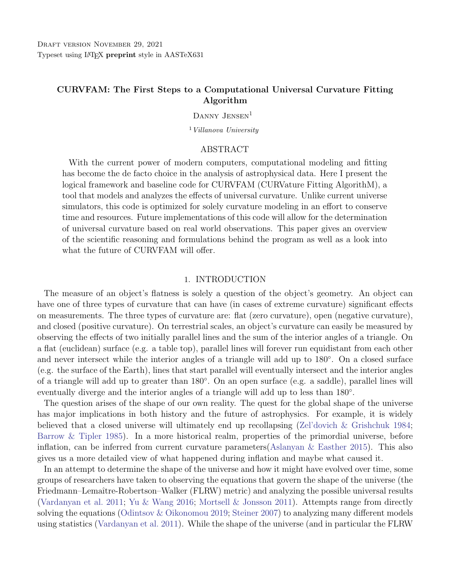#### CURVFAM 3

Here, I apply a top-down approach to determine the effects of any arbitrary curvature function for the observable universe. I start by assuming that the curvature metric  $K$  can change as a function of both time,  $T(t)$ , and position in space,  $\Upsilon(\vec{r})$  ( $\vec{r}$  is the position vector of the object). In Equation [1,](#page-2-0)  $\Upsilon(\vec{r})$  represents the spatial dependency of curvature (ie. if curvature varies based on location in the universe), and  $T(t)$  represents the time dependency (ie. the allowance for curvature to change over time). Since we cannot assume that we know a set of universal coordinates (the classic Copernican principle) [\(Clarkson et al.](#page-10-14) [2008\)](#page-10-14), the spatial dependence will be used here in terms of coordinates relative to an observer (realistically spherical coordinates).

<span id="page-2-0"></span>
$$
K(\vec{r},t) = \Upsilon(\vec{r})T(t) \tag{1}
$$

Typically, the curvature  $K$  would be determined by solving the FLRW metric. However, should the FLRW metric prove too complex to analyze or if the data does not provide adequate information and parameters for the metric, a series of exponentials would provide a useful approximation. Exponentials make a valid approximation because of their unbounded nature. When used with variable coefficients, exponentials can take on any value and, when used in a series, can model any function.

By prescribing a known curvature metric to a universe of test data, observables can be measured with respect to a chosen reference point. In this case, the observables will be: perceived distance to any object from the reference point and the measured angle formed between two observed objects with respect to the reference point.

The important distinction to make for observations in curved space is that the distance between any two objects is going to change depending on the curvature. As such, the apparent angle between the two objects (from the reference point) is going to increase or decrease based on the curvature. Figure [1](#page-3-1) depicts an example of how two objects in flat space will be perceived at different locations in a space of closed curvature. As the space between the objects is stretched, the perceived angle  $(\varphi)$  between the objects is increased. Along with this change in perceived angle the distance to the objects may change as well as the space between the objects and the reference point is stretched.

By determining how the observables change for a set of objects with known, fixed locations, the dependence of observables on the curvature is shown. With the top-down model constructed, the curvature function (Equation [1\)](#page-2-0) can be optimized for a curvature that yields observables that we see in our own universe.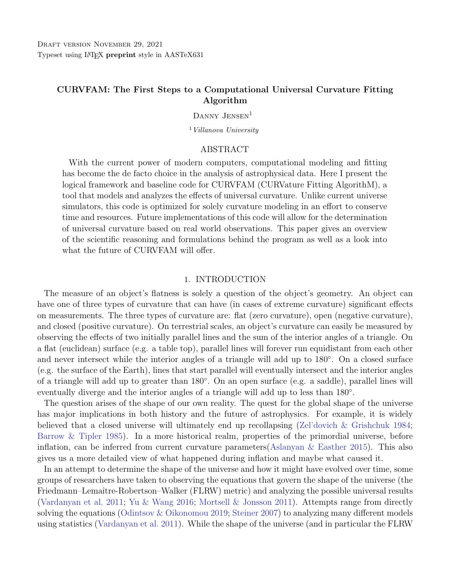

<span id="page-3-1"></span>Figure 1. An example of how the perceived observables might change in a closed space. The locations of two objects in flat space  $(S_1 \text{ and } S_2)$  are perceived at different locations  $(S'_1 \text{ and } S'_2)$  when viewed in a closed space.

### 3. 1-D MODEL

<span id="page-3-0"></span>Before designing a model that incorporates all dimensions, I first apply the math to a simpler one-dimensional model to see how curvature affects the observable on geometries that are easier to both comprehend and simulate.

For a one-dimensional model, the only observable would be the distance from the reference point along the direction of space (r). Here I am considering the reference point to be the zero point of the space. This is a fair assumption to make since any observer would see themselves at the origin of their own reference frame when making observations. To model this, I generate a set of uniformly distributed points in flat space (points evenly spaced along a straight line), then generate their positions in curved space by applying a prescribed curvature function to their locations. In euclidean space, this model would be a straight line. The curvature metric in this model would be only a function of position. Figure [2](#page-4-0) shows how the positions of the objects in flat space are transcribed as new positions in an example curved space.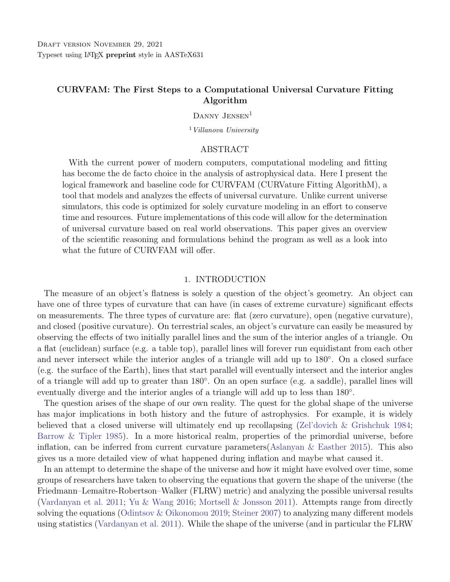

<span id="page-4-0"></span>Figure 2. Sinusoidal example of how one-dimensional distance changes as the curvature of space changes. In flat space the distance traveled is a straight line, but in curved space the distance traveled is a path length along the curvature function.

For any one-dimensional space, the distance between any two points is given by the distance formula for curves. Equation [2](#page-4-1) shows the distance r to any object  $S$  relative to the reference point along any path (straight or curved). Here  $\overline{K}$  represents the modulus of the first derivative of the curvature function.

<span id="page-4-1"></span>
$$
r = \int_0^S \sqrt{1 + jK'j^2} \, dr \tag{2}
$$

To give a more explicit example, I prescribe the curvature polynomial given in Equation [3.](#page-4-2)

<span id="page-4-2"></span>
$$
K = 2r^2 \quad 4r \tag{3}
$$

It is important to recall that for the purpose of this example case, a polynomial is a less than realistic interpretation of the universe. I use it here to emphasize the effects of the curvature. Figure [3](#page-4-3) displays how the distribution of distances changed from uniform spacing and density to a less uniform distribution when acted on by curvature.



<span id="page-4-3"></span>Figure 3. How the distribution of one-dimensional distances from the reference point (zero) changes when curvature is applied. It is important to note that the exact results depend on the curvature functions used.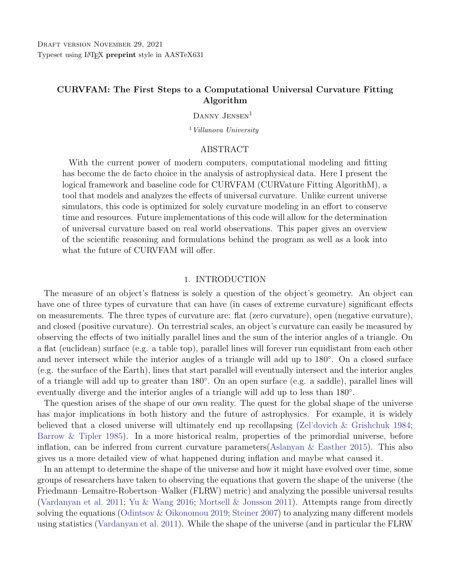### 4. COMPREHENSIVE MODEL

<span id="page-5-0"></span>In transitioning to higher spatial dimensions, it is important to note that the reference point is no longer at the zero point of a function of curvature. Rather, the reference point is now at the origin of a three-dimensional universe that is uniformly populated with points out to a finite location. The universe starts flat with the objects distributed homogeneously and isotropically throughout the volume. I choose to start with this because on the universal scale, the distribution of galaxies is found to be homogeneous and isotropic [\(Barrow & Matzner](#page-10-15) [1977\)](#page-10-15). When applying supernova data to the model, the imported data is unlikely to be either, however they are representatives from a universe that is both. A curvature metric is prescribed to the space. Unlike the one-dimensional case, the curvature metric here is a series of three equations, each describing the effects of curvature on a single observable. Spherical coordinates  $(\varphi, \theta, r)$  are chosen due to the fact that all observations are relative to a single reference point which I consider the origin here. Equation [4](#page-5-1) shows how the curvature metric is broken into three separate functions to represent to the three observables. Υ represents the positional part of the observables ( $\varphi$ ,  $\theta$ , and r) while the time component T is covered by the r observable. The r observable represents the distance along the line of sight from the object to the observer. However, because light has a finite speed, this distance becomes linked with time. Therefore, the further away the object, the further back in time we observe it and the curvature at the time of the light's emission must be considered.

<span id="page-5-1"></span>
$$
K_{\varphi}(\varphi, \theta, r) = \Upsilon(\varphi, \theta, r)T(r)
$$
  
\n
$$
K_{\theta}(\varphi, \theta, r) = \Upsilon(\varphi, \theta, r)T(r)
$$
  
\n
$$
K_{r}(\varphi, \theta, r) = \Upsilon(\varphi, \theta, r)T(r)
$$
\n(4)

For an easily perceived example, I apply a closed curvature metric that is a series of simple poly-nomials. The curvature metric I use is given in Equation [5.](#page-5-2) Again, a polynomial is not the most realistic approach to modeling the actual universe, but for the purposes of demonstration it provides an easy to view example.

<span id="page-5-2"></span>
$$
K_{\varphi} = \varphi^{2} + r\theta
$$
  
\n
$$
K_{\theta} = \varphi^{2} \varphi \theta
$$
  
\n
$$
K_{r} = \varphi^{2} \varphi \theta
$$
  
\n(5)

All the observables  $(\varphi, \theta, \text{ and } r)$  are possible functions of each other. It is in this sense that CURVFAM accounts for local curvature as well as grand scale curvature. The prescribed curvature metric is applied to each object's position vector resulting in a new primed position vector that gives the object's location in curved space with regard to the euclidean space. For example, an object with observables  $(\varphi, \theta, r) = (1, 2, 5)$  would become  $(11, 1, 2)$ . It is important to note that the curvature functions are calculated using  $\varphi$  and  $\theta$  in radians so any value initially in degrees is first converted to radians. The analysis between flat and curved can be made as computationally simple as possible with all calculations being similar with the difference being the data set used (primed vs unprimed). Because the program calculates the primed locations and then determines the observables, local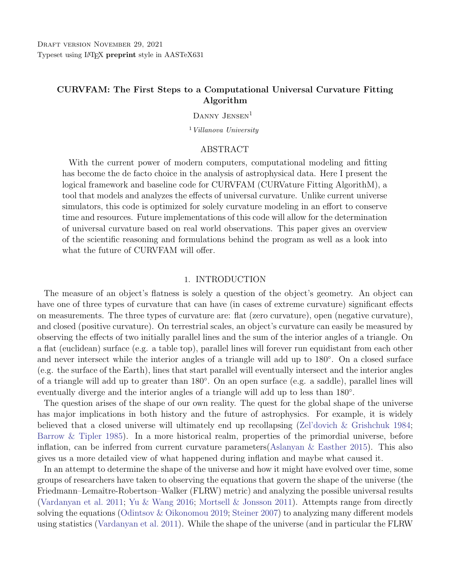

<span id="page-6-0"></span>Figure 4. How the three-dimensional uniform distribution is affected by the spatial curvature example in Equation [5.](#page-5-2) The reference point is at the center of the distribution (the origin). It is important to note that the exact results depend on the curvature functions used.

curvature as well as any curvature between the objects and the reference point are accounted for. Figure [4](#page-6-0) shows how curvature causes the observed spatial distribution of points to warp.

The change in spatial distribution also changes the observed angle between any two points. To determine the effects of curvature on the observed angles, I considered every pair of two adjacent data points. Adjacent is defined here as two objects that, in flat space, lie directly next to each other along a single Cartesian dimension  $(x, y, z)$  and differ by one separation distance in only one coordinate (eg.  $(1,1,1)$ ) is adjacent to  $(1,2,1)$  but is adjacent to neither  $(1,2,2)$  nor  $(1,3,1)$ ). The angle between two objects is calculated using the dot product of their respective position vectors. I use the angle distribution and the average angle value for flat space as a reference against which to compare the distribution and average angle value for the same pairs in curved space.

Recall that the primed positions of the objects is being projected into euclidean space. Therefore, the angle between a pair of objects in curved space is calculated the exact same way as in flat space (with the primed position vectors this time). The curvature metric is being used to calculate primed locations of the objects and is already taking curvature into account and transcribing the curved space into flat space.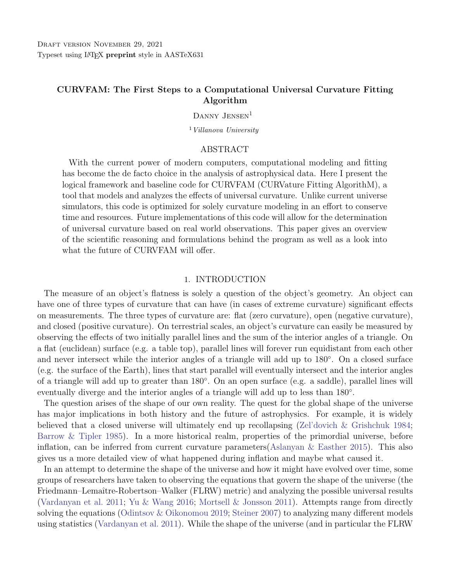

<span id="page-7-0"></span>Figure 5. How the distribution of angles as well as the average angle value is affected by the spatial curvature example in Equation [5.](#page-5-2) It is important to note that the exact results depend on the curvature functions used.

Figure [5](#page-7-0) shows how the same curvature that was applied to produce Figure [4](#page-6-0) affects the observed angles between previously adjacent pairs. In flat space, the angles between pairs is a very narrow distribution. This is expected due to the uniform nature of the points. When curvature is applied, the distribution loses the initial spatial uniformity and therefore the initial angular uniformity causing the average angle between previously adjacent points to change. Generally this will be observed in a spreading of the distribution and an increase in the mean angle for closed space and a decrease in the mean angle for open space. For the test case here, the distribution spreads out and the mean angle increases from 10.92◦ to 66.14◦ .



<span id="page-7-1"></span>Figure 6. How the distribution of distances as well as the average distance value is affected by the spatial curvature example in Equation [5.](#page-5-2) It is important to note that the exact results depend on the curvature functions used.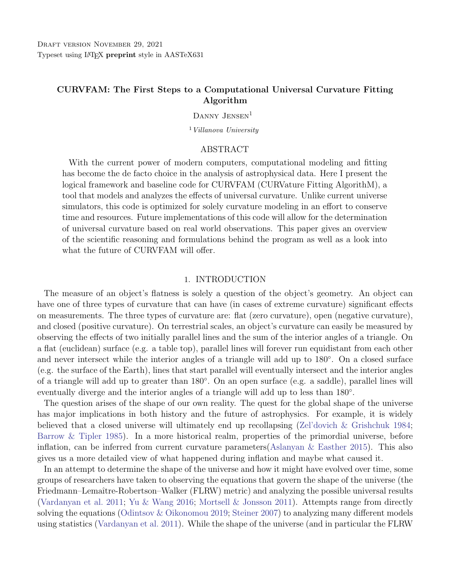#### CURVFAM 9

The last observable to examine is the radial distance to the objects. The curvature parameter is also a function of time which is described by this distance. Figure [6](#page-7-1) displays how curvature can affect the apparent distance between an object and the reference point. The distance in flat space is a near symmetrical distribution representative of the initial cubic uniformity. When curvature is applied, the distances to the points no longer appears as symmetrical as the initial uniformity is lost. In the case presented here, the average distance to an object in flat space is 9.79 units while in the curved space it becomes 8.44 units. While this is not as drastic of a change as the angular distribution, it does still exemplify how the perceived distances can change as a result of curvature.

As I have demonstrated here with this test case, CURVFAM is able to calculate the angular distributions as well as distance distributions for selected data (in this case uniform population) for a prescribed curvature metric. In its current state, this tool is helpful for observing the effects of various curvatures on observed quantities. This provides a teaching tool to display the effects of different curvature styles (open/closed) as well as the effects of various curvature strengths. I now turn to addressing the future fitting aspect of the program.

#### 5. FUTURE IMPLEMENTATIONS

<span id="page-8-0"></span>At it's current stage, CURVFAM does not yet posses a finalized fitting component. Future versions of CURVFAM will include a fitter that allows for the interpretation of real-world observational data. The fitter will utilize the same top-down method of describing curvature in order to determine which curvature metric best fits imported observable data. The difference is that rather than applying curvature to a set of uniform points, the observational data will represent the data points in curved space. The fitter is then tasked with finding the best curvature functions to produce the observed results. An additional component that will be added to future versions is the inclusion of general relativity. When considering universal curvature, general relativity plays a significant part in the determination of universal parameters such as density parameters and values such as the Hubble constant. As such, the fitter will take relativity into account and return a curvature fit as well as possible universal parameter values.

With the large amounts of supernova data available for use publicly [\(Guillochon et al.](#page-10-16) [2017\)](#page-10-16) as well as the possibility of future supernovae surveys, the ability to process large amounts of data with speed and accuracy is important. CURVFAM already demonstrates the ability to handle thousands of data points in this current top-down state. However, with the addition of the fitting algorithm, a decrease in efficiency is to be expected. As such, new methods of modeling as well as new fitting algorithms will be continually tested and applied to CURVFAM.

In its current state, CURVFAM works as a client side code that must be directly modified to include the local data files. In future implementations we will apply a more user friendly front end GUI to help streamline data input and output. This will allow for the code to be accessed as either a package or program without the need to directly edit the source code. Stemming off from this, even further versions of CURVFAM can be modified to be presented in a web-based format. This will allow for the intense calculations to be run on more efficient servers and provide additional ease-of-use for the user.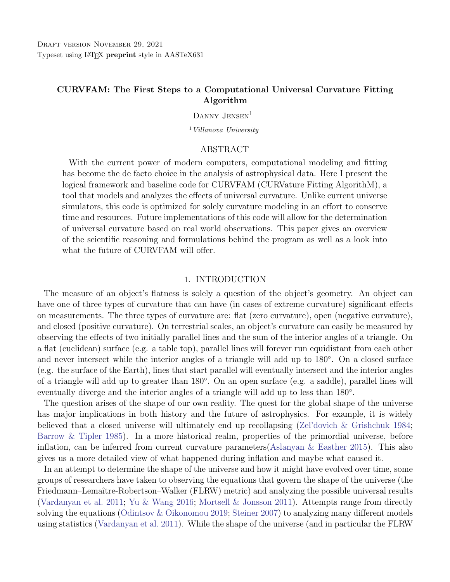### 6. CONCLUSION

<span id="page-9-0"></span>In this paper I presented the current state of a continuing process towards unifying computational modeling and universal curvature fitting. CURVFAM is a code that allows for the determination of observables in a prescribed curved space. The implication of this is the ability to reverse this process and find a curvature that generates the observed curved space values. With the advent of a universe simulator designed with the sole purpose of determining curvature parameters, future curvature measurements with new and old data alike will be faster and less computationally intense.

In its current state, CURVFAM has the ability to display the effects of various curvatures on any provided selection of data. This is useful in the testing of theories regarding the effects of curvature on systems. Later versions of CURVFAM will include a relativistic statistical fitting algorithm as well as a more user friendly GUI for streamlined data input and output. This will allow for the automated fitting of curvature parameters to large quantities of data. In the future, CURVFAM aims to generate a better model of the universe and increase our understanding of its topology both in space and in time.

I wish to express my sincerest gratitude to Andrej Prša whose assistance made this project possible. A special thanks to Danielle "The Danith" Mortensen for her much needed inspiration and encouragement. A warm appreciation to Grace for emotional support. This research has received no additional external funding.

Software: Python CURVFAM v1.0 available on GitHub: <https://github.com/Breadcups/CURVFAM.git>